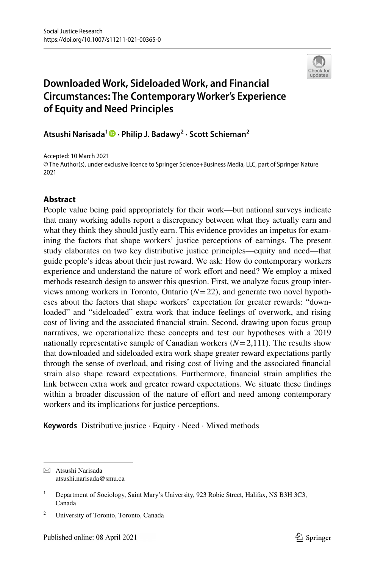

# **Downloaded Work, Sideloaded Work, and Financial Circumstances: The Contemporary Worker's Experience of Equity and Need Principles**

**Atsushi Narisada1  [·](http://orcid.org/0000-0002-2904-0431) Philip J. Badawy2 · Scott Schieman2**

Accepted: 10 March 2021 © The Author(s), under exclusive licence to Springer Science+Business Media, LLC, part of Springer Nature 2021

## **Abstract**

People value being paid appropriately for their work—but national surveys indicate that many working adults report a discrepancy between what they actually earn and what they think they should justly earn. This evidence provides an impetus for examining the factors that shape workers' justice perceptions of earnings. The present study elaborates on two key distributive justice principles—equity and need—that guide people's ideas about their just reward. We ask: How do contemporary workers experience and understand the nature of work effort and need? We employ a mixed methods research design to answer this question. First, we analyze focus group interviews among workers in Toronto, Ontario (*N*=22), and generate two novel hypotheses about the factors that shape workers' expectation for greater rewards: "downloaded" and "sideloaded" extra work that induce feelings of overwork, and rising cost of living and the associated fnancial strain. Second, drawing upon focus group narratives, we operationalize these concepts and test our hypotheses with a 2019 nationally representative sample of Canadian workers  $(N=2,111)$ . The results show that downloaded and sideloaded extra work shape greater reward expectations partly through the sense of overload, and rising cost of living and the associated fnancial strain also shape reward expectations. Furthermore, fnancial strain amplifes the link between extra work and greater reward expectations. We situate these fndings within a broader discussion of the nature of effort and need among contemporary workers and its implications for justice perceptions.

**Keywords** Distributive justice · Equity · Need · Mixed methods

 $\boxtimes$  Atsushi Narisada atsushi.narisada@smu.ca

<sup>&</sup>lt;sup>1</sup> Department of Sociology, Saint Mary's University, 923 Robie Street, Halifax, NS B3H 3C3, Canada

<sup>2</sup> University of Toronto, Toronto, Canada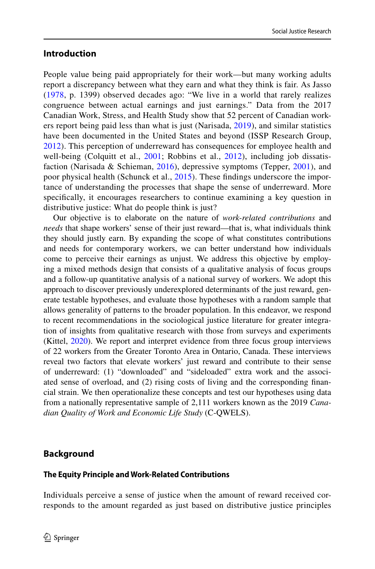### **Introduction**

People value being paid appropriately for their work—but many working adults report a discrepancy between what they earn and what they think is fair. As Jasso [\(1978](#page-24-0), p. 1399) observed decades ago: "We live in a world that rarely realizes congruence between actual earnings and just earnings." Data from the 2017 Canadian Work, Stress, and Health Study show that 52 percent of Canadian workers report being paid less than what is just (Narisada, [2019\)](#page-25-0), and similar statistics have been documented in the United States and beyond (ISSP Research Group, [2012\)](#page-24-1). This perception of underreward has consequences for employee health and well-being (Colquitt et al., [2001](#page-24-2); Robbins et al., [2012\)](#page-25-1), including job dissatis-faction (Narisada & Schieman, [2016](#page-25-2)), depressive symptoms (Tepper, [2001](#page-25-3)), and poor physical health (Schunck et al., [2015](#page-25-4)). These fndings underscore the importance of understanding the processes that shape the sense of underreward. More specifcally, it encourages researchers to continue examining a key question in distributive justice: What do people think is just?

Our objective is to elaborate on the nature of *work-related contributions* and *needs* that shape workers' sense of their just reward—that is, what individuals think they should justly earn. By expanding the scope of what constitutes contributions and needs for contemporary workers, we can better understand how individuals come to perceive their earnings as unjust. We address this objective by employing a mixed methods design that consists of a qualitative analysis of focus groups and a follow-up quantitative analysis of a national survey of workers. We adopt this approach to discover previously underexplored determinants of the just reward, generate testable hypotheses, and evaluate those hypotheses with a random sample that allows generality of patterns to the broader population. In this endeavor, we respond to recent recommendations in the sociological justice literature for greater integration of insights from qualitative research with those from surveys and experiments (Kittel, [2020\)](#page-24-3). We report and interpret evidence from three focus group interviews of 22 workers from the Greater Toronto Area in Ontario, Canada. These interviews reveal two factors that elevate workers' just reward and contribute to their sense of underreward: (1) "downloaded" and "sideloaded" extra work and the associated sense of overload, and (2) rising costs of living and the corresponding fnancial strain. We then operationalize these concepts and test our hypotheses using data from a nationally representative sample of 2,111 workers known as the 2019 *Canadian Quality of Work and Economic Life Study* (C-QWELS).

### **Background**

### **The Equity Principle and Work‑Related Contributions**

Individuals perceive a sense of justice when the amount of reward received corresponds to the amount regarded as just based on distributive justice principles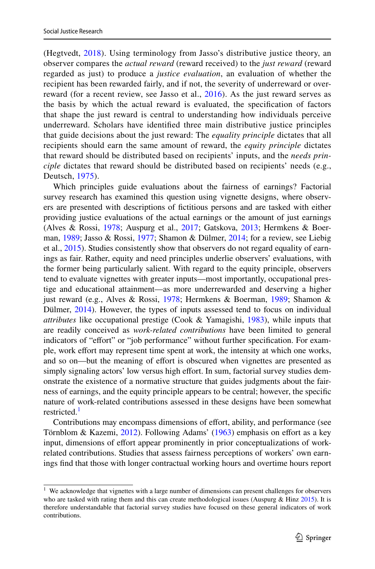(Hegtvedt, [2018\)](#page-24-4). Using terminology from Jasso's distributive justice theory, an observer compares the *actual reward* (reward received) to the *just reward* (reward regarded as just) to produce a *justice evaluation*, an evaluation of whether the recipient has been rewarded fairly, and if not, the severity of underreward or over-reward (for a recent review, see Jasso et al., [2016](#page-24-5)). As the just reward serves as the basis by which the actual reward is evaluated, the specifcation of factors that shape the just reward is central to understanding how individuals perceive underreward. Scholars have identifed three main distributive justice principles that guide decisions about the just reward: The *equality principle* dictates that all recipients should earn the same amount of reward, the *equity principle* dictates that reward should be distributed based on recipients' inputs, and the *needs principle* dictates that reward should be distributed based on recipients' needs (e.g., Deutsch, [1975](#page-24-6)).

Which principles guide evaluations about the fairness of earnings? Factorial survey research has examined this question using vignette designs, where observers are presented with descriptions of fctitious persons and are tasked with either providing justice evaluations of the actual earnings or the amount of just earnings (Alves & Rossi, [1978;](#page-23-0) Auspurg et al., [2017;](#page-23-1) Gatskova, [2013;](#page-24-7) Hermkens & Boerman, [1989;](#page-24-8) Jasso & Rossi, [1977;](#page-24-9) Shamon & Dülmer, [2014](#page-25-5); for a review, see Liebig et al., [2015](#page-25-6)). Studies consistently show that observers do not regard equality of earnings as fair. Rather, equity and need principles underlie observers' evaluations, with the former being particularly salient. With regard to the equity principle, observers tend to evaluate vignettes with greater inputs—most importantly, occupational prestige and educational attainment—as more underrewarded and deserving a higher just reward (e.g., Alves & Rossi, [1978;](#page-23-0) Hermkens & Boerman, [1989](#page-24-8); Shamon & Dülmer, [2014](#page-25-5)). However, the types of inputs assessed tend to focus on individual *attributes* like occupational prestige (Cook & Yamagishi, [1983\)](#page-24-10), while inputs that are readily conceived as *work-related contributions* have been limited to general indicators of "effort" or "job performance" without further specification. For example, work efort may represent time spent at work, the intensity at which one works, and so on—but the meaning of effort is obscured when vignettes are presented as simply signaling actors' low versus high effort. In sum, factorial survey studies demonstrate the existence of a normative structure that guides judgments about the fairness of earnings, and the equity principle appears to be central; however, the specifc nature of work-related contributions assessed in these designs have been somewhat restricted.<sup>[1](#page-2-0)</sup>

Contributions may encompass dimensions of effort, ability, and performance (see Törnblom & Kazemi, [2012](#page-25-7)). Following Adams' [\(1963](#page-23-2)) emphasis on efort as a key input, dimensions of efort appear prominently in prior conceptualizations of workrelated contributions. Studies that assess fairness perceptions of workers' own earnings fnd that those with longer contractual working hours and overtime hours report

<span id="page-2-0"></span><sup>&</sup>lt;sup>1</sup> We acknowledge that vignettes with a large number of dimensions can present challenges for observers who are tasked with rating them and this can create methodological issues (Auspurg & Hinz  $2015$ ). It is therefore understandable that factorial survey studies have focused on these general indicators of work contributions.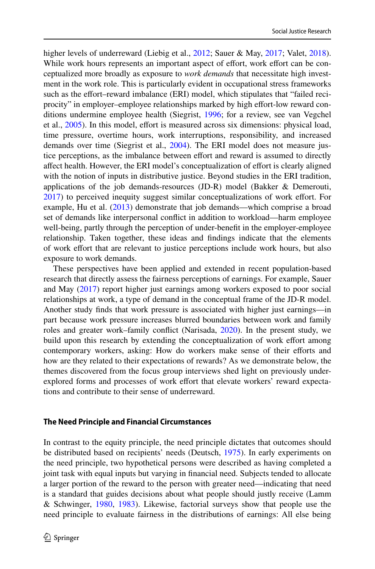higher levels of underreward (Liebig et al., [2012](#page-25-8); Sauer & May, [2017;](#page-25-9) Valet, [2018\)](#page-25-10). While work hours represents an important aspect of effort, work effort can be conceptualized more broadly as exposure to *work demands* that necessitate high investment in the work role. This is particularly evident in occupational stress frameworks such as the effort–reward imbalance (ERI) model, which stipulates that "failed reciprocity" in employer–employee relationships marked by high effort-low reward conditions undermine employee health (Siegrist, [1996](#page-25-11); for a review, see van Vegchel et al., [2005](#page-26-0)). In this model, effort is measured across six dimensions: physical load, time pressure, overtime hours, work interruptions, responsibility, and increased demands over time (Siegrist et al., [2004\)](#page-25-12). The ERI model does not measure justice perceptions, as the imbalance between effort and reward is assumed to directly afect health. However, the ERI model's conceptualization of efort is clearly aligned with the notion of inputs in distributive justice. Beyond studies in the ERI tradition, applications of the job demands-resources (JD-R) model (Bakker & Demerouti, [2017](#page-24-11)) to perceived inequity suggest similar conceptualizations of work effort. For example, Hu et al. [\(2013](#page-24-12)) demonstrate that job demands—which comprise a broad set of demands like interpersonal confict in addition to workload—harm employee well-being, partly through the perception of under-beneft in the employer-employee relationship. Taken together, these ideas and fndings indicate that the elements of work efort that are relevant to justice perceptions include work hours, but also exposure to work demands.

These perspectives have been applied and extended in recent population-based research that directly assess the fairness perceptions of earnings. For example, Sauer and May [\(2017](#page-25-9)) report higher just earnings among workers exposed to poor social relationships at work, a type of demand in the conceptual frame of the JD-R model. Another study fnds that work pressure is associated with higher just earnings—in part because work pressure increases blurred boundaries between work and family roles and greater work–family confict (Narisada, [2020](#page-25-13)). In the present study, we build upon this research by extending the conceptualization of work efort among contemporary workers, asking: How do workers make sense of their efforts and how are they related to their expectations of rewards? As we demonstrate below, the themes discovered from the focus group interviews shed light on previously underexplored forms and processes of work effort that elevate workers' reward expectations and contribute to their sense of underreward.

#### **The Need Principle and Financial Circumstances**

In contrast to the equity principle, the need principle dictates that outcomes should be distributed based on recipients' needs (Deutsch, [1975](#page-24-6)). In early experiments on the need principle, two hypothetical persons were described as having completed a joint task with equal inputs but varying in fnancial need. Subjects tended to allocate a larger portion of the reward to the person with greater need—indicating that need is a standard that guides decisions about what people should justly receive (Lamm & Schwinger, [1980,](#page-24-13) [1983\)](#page-25-14). Likewise, factorial surveys show that people use the need principle to evaluate fairness in the distributions of earnings: All else being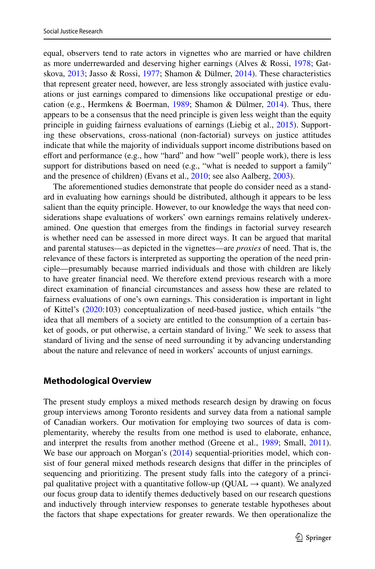equal, observers tend to rate actors in vignettes who are married or have children as more underrewarded and deserving higher earnings (Alves & Rossi, [1978](#page-23-0); Gatskova, [2013](#page-24-7); Jasso & Rossi, [1977](#page-24-9); Shamon & Dülmer, [2014](#page-25-5)). These characteristics that represent greater need, however, are less strongly associated with justice evaluations or just earnings compared to dimensions like occupational prestige or education (e.g., Hermkens & Boerman, [1989](#page-24-8); Shamon & Dülmer, [2014\)](#page-25-5). Thus, there appears to be a consensus that the need principle is given less weight than the equity principle in guiding fairness evaluations of earnings (Liebig et al., [2015](#page-25-6)). Supporting these observations, cross-national (non-factorial) surveys on justice attitudes indicate that while the majority of individuals support income distributions based on effort and performance (e.g., how "hard" and how "well" people work), there is less support for distributions based on need (e.g., "what is needed to support a family" and the presence of children) (Evans et al., [2010;](#page-24-14) see also Aalberg, [2003](#page-23-4)).

The aforementioned studies demonstrate that people do consider need as a standard in evaluating how earnings should be distributed, although it appears to be less salient than the equity principle. However, to our knowledge the ways that need considerations shape evaluations of workers' own earnings remains relatively underexamined. One question that emerges from the fndings in factorial survey research is whether need can be assessed in more direct ways. It can be argued that marital and parental statuses—as depicted in the vignettes—are *proxies* of need. That is, the relevance of these factors is interpreted as supporting the operation of the need principle—presumably because married individuals and those with children are likely to have greater fnancial need. We therefore extend previous research with a more direct examination of fnancial circumstances and assess how these are related to fairness evaluations of one's own earnings. This consideration is important in light of Kittel's [\(2020](#page-24-3):103) conceptualization of need-based justice, which entails "the idea that all members of a society are entitled to the consumption of a certain basket of goods, or put otherwise, a certain standard of living." We seek to assess that standard of living and the sense of need surrounding it by advancing understanding about the nature and relevance of need in workers' accounts of unjust earnings.

#### **Methodological Overview**

The present study employs a mixed methods research design by drawing on focus group interviews among Toronto residents and survey data from a national sample of Canadian workers. Our motivation for employing two sources of data is complementarity, whereby the results from one method is used to elaborate, enhance, and interpret the results from another method (Greene et al., [1989](#page-24-15); Small, [2011\)](#page-25-15). We base our approach on Morgan's [\(2014](#page-25-16)) sequential-priorities model, which consist of four general mixed methods research designs that difer in the principles of sequencing and prioritizing. The present study falls into the category of a principal qualitative project with a quantitative follow-up (QUAL  $\rightarrow$  quant). We analyzed our focus group data to identify themes deductively based on our research questions and inductively through interview responses to generate testable hypotheses about the factors that shape expectations for greater rewards. We then operationalize the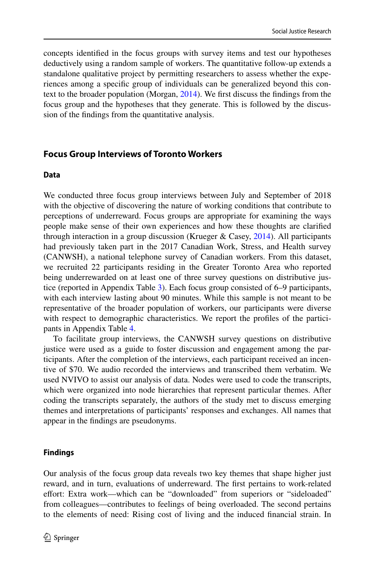concepts identifed in the focus groups with survey items and test our hypotheses deductively using a random sample of workers. The quantitative follow-up extends a standalone qualitative project by permitting researchers to assess whether the experiences among a specifc group of individuals can be generalized beyond this context to the broader population (Morgan, [2014](#page-25-16)). We frst discuss the fndings from the focus group and the hypotheses that they generate. This is followed by the discussion of the fndings from the quantitative analysis.

### **Focus Group Interviews of Toronto Workers**

#### **Data**

We conducted three focus group interviews between July and September of 2018 with the objective of discovering the nature of working conditions that contribute to perceptions of underreward. Focus groups are appropriate for examining the ways people make sense of their own experiences and how these thoughts are clarifed through interaction in a group discussion (Krueger & Casey, [2014](#page-24-16)). All participants had previously taken part in the 2017 Canadian Work, Stress, and Health survey (CANWSH), a national telephone survey of Canadian workers. From this dataset, we recruited 22 participants residing in the Greater Toronto Area who reported being underrewarded on at least one of three survey questions on distributive justice (reported in Appendix Table [3\)](#page-22-0). Each focus group consisted of 6–9 participants, with each interview lasting about 90 minutes. While this sample is not meant to be representative of the broader population of workers, our participants were diverse with respect to demographic characteristics. We report the profles of the participants in Appendix Table [4.](#page-23-5)

To facilitate group interviews, the CANWSH survey questions on distributive justice were used as a guide to foster discussion and engagement among the participants. After the completion of the interviews, each participant received an incentive of \$70. We audio recorded the interviews and transcribed them verbatim. We used NVIVO to assist our analysis of data. Nodes were used to code the transcripts, which were organized into node hierarchies that represent particular themes. After coding the transcripts separately, the authors of the study met to discuss emerging themes and interpretations of participants' responses and exchanges. All names that appear in the fndings are pseudonyms.

### **Findings**

Our analysis of the focus group data reveals two key themes that shape higher just reward, and in turn, evaluations of underreward. The frst pertains to work-related efort: Extra work—which can be "downloaded" from superiors or "sideloaded" from colleagues—contributes to feelings of being overloaded. The second pertains to the elements of need: Rising cost of living and the induced fnancial strain. In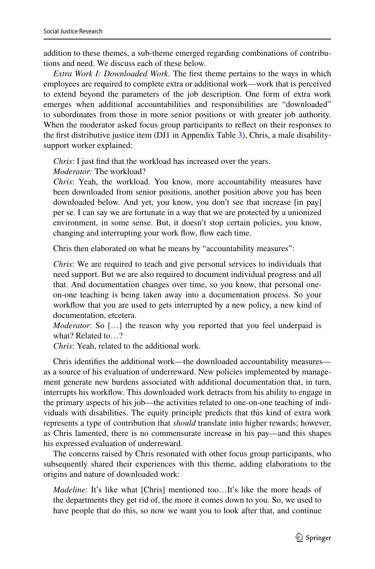addition to these themes, a sub-theme emerged regarding combinations of contributions and need. We discuss each of these below.

*Extra Work I: Downloaded Work.* The frst theme pertains to the ways in which employees are required to complete extra or additional work—work that is perceived to extend beyond the parameters of the job description. One form of extra work emerges when additional accountabilities and responsibilities are "downloaded" to subordinates from those in more senior positions or with greater job authority. When the moderator asked focus group participants to refect on their responses to the frst distributive justice item (DJ1 in Appendix Table [3](#page-22-0)), Chris, a male disabilitysupport worker explained:

*Chris*: I just find that the workload has increased over the years.

*Moderator:* The workload?

*Chris*: Yeah, the workload. You know, more accountability measures have been downloaded from senior positions, another position above you has been downloaded below. And yet, you know, you don't see that increase [in pay] per se. I can say we are fortunate in a way that we are protected by a unionized environment, in some sense. But, it doesn't stop certain policies, you know, changing and interrupting your work flow, flow each time.

Chris then elaborated on what he means by "accountability measures":

*Chris*: We are required to teach and give personal services to individuals that need support. But we are also required to document individual progress and all that. And documentation changes over time, so you know, that personal oneon-one teaching is being taken away into a documentation process. So your workfow that you are used to gets interrupted by a new policy, a new kind of documentation, etcetera.

*Moderator*: So […] the reason why you reported that you feel underpaid is what? Related to…?

*Chris*: Yeah, related to the additional work.

Chris identifes the additional work—the downloaded accountability measures as a source of his evaluation of underreward. New policies implemented by management generate new burdens associated with additional documentation that, in turn, interrupts his workfow. This downloaded work detracts from his ability to engage in the primary aspects of his job—the activities related to one-on-one teaching of individuals with disabilities. The equity principle predicts that this kind of extra work represents a type of contribution that *should* translate into higher rewards; however, as Chris lamented, there is no commensurate increase in his pay—and this shapes his expressed evaluation of underreward.

The concerns raised by Chris resonated with other focus group participants, who subsequently shared their experiences with this theme, adding elaborations to the origins and nature of downloaded work:

*Madeline*: It's like what [Chris] mentioned too...It's like the more heads of the departments they get rid of, the more it comes down to you. So, we used to have people that do this, so now we want you to look after that, and continue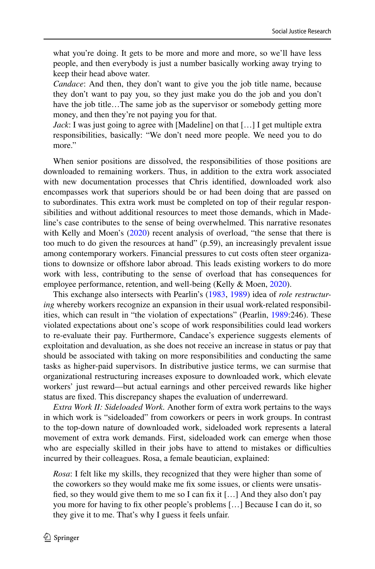what you're doing. It gets to be more and more and more, so we'll have less people, and then everybody is just a number basically working away trying to keep their head above water.

*Candace*: And then, they don't want to give you the job title name, because they don't want to pay you, so they just make you do the job and you don't have the job title…The same job as the supervisor or somebody getting more money, and then they're not paying you for that.

*Jack*: I was just going to agree with [Madeline] on that [...] I get multiple extra responsibilities, basically: "We don't need more people. We need you to do more."

When senior positions are dissolved, the responsibilities of those positions are downloaded to remaining workers. Thus, in addition to the extra work associated with new documentation processes that Chris identifed, downloaded work also encompasses work that superiors should be or had been doing that are passed on to subordinates. This extra work must be completed on top of their regular responsibilities and without additional resources to meet those demands, which in Madeline's case contributes to the sense of being overwhelmed. This narrative resonates with Kelly and Moen's  $(2020)$  $(2020)$  recent analysis of overload, "the sense that there is too much to do given the resources at hand" (p.59), an increasingly prevalent issue among contemporary workers. Financial pressures to cut costs often steer organizations to downsize or ofshore labor abroad. This leads existing workers to do more work with less, contributing to the sense of overload that has consequences for employee performance, retention, and well-being (Kelly & Moen, [2020](#page-24-17)).

This exchange also intersects with Pearlin's [\(1983](#page-25-17), [1989\)](#page-25-18) idea of *role restructuring* whereby workers recognize an expansion in their usual work-related responsibilities, which can result in "the violation of expectations" (Pearlin, [1989:](#page-25-18)246). These violated expectations about one's scope of work responsibilities could lead workers to re-evaluate their pay. Furthermore, Candace's experience suggests elements of exploitation and devaluation, as she does not receive an increase in status or pay that should be associated with taking on more responsibilities and conducting the same tasks as higher-paid supervisors. In distributive justice terms, we can surmise that organizational restructuring increases exposure to downloaded work, which elevate workers' just reward—but actual earnings and other perceived rewards like higher status are fxed. This discrepancy shapes the evaluation of underreward.

*Extra Work II: Sideloaded Work.* Another form of extra work pertains to the ways in which work is "sideloaded" from coworkers or peers in work groups. In contrast to the top-down nature of downloaded work, sideloaded work represents a lateral movement of extra work demands. First, sideloaded work can emerge when those who are especially skilled in their jobs have to attend to mistakes or difficulties incurred by their colleagues. Rosa, a female beautician, explained:

*Rosa*: I felt like my skills, they recognized that they were higher than some of the coworkers so they would make me fx some issues, or clients were unsatisfied, so they would give them to me so I can fix it [ $\dots$ ] And they also don't pay you more for having to fx other people's problems […] Because I can do it, so they give it to me. That's why I guess it feels unfair.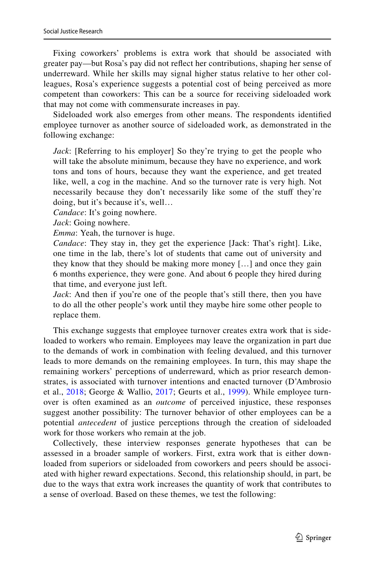Fixing coworkers' problems is extra work that should be associated with greater pay—but Rosa's pay did not refect her contributions, shaping her sense of underreward. While her skills may signal higher status relative to her other colleagues, Rosa's experience suggests a potential cost of being perceived as more competent than coworkers: This can be a source for receiving sideloaded work that may not come with commensurate increases in pay.

Sideloaded work also emerges from other means. The respondents identifed employee turnover as another source of sideloaded work, as demonstrated in the following exchange:

*Jack*: [Referring to his employer] So they're trying to get the people who will take the absolute minimum, because they have no experience, and work tons and tons of hours, because they want the experience, and get treated like, well, a cog in the machine. And so the turnover rate is very high. Not necessarily because they don't necessarily like some of the stuff they're doing, but it's because it's, well…

*Candace*: It's going nowhere.

*Jack*: Going nowhere.

*Emma*: Yeah, the turnover is huge.

*Candace*: They stay in, they get the experience [Jack: That's right]. Like, one time in the lab, there's lot of students that came out of university and they know that they should be making more money […] and once they gain 6 months experience, they were gone. And about 6 people they hired during that time, and everyone just left.

*Jack*: And then if you're one of the people that's still there, then you have to do all the other people's work until they maybe hire some other people to replace them.

This exchange suggests that employee turnover creates extra work that is sideloaded to workers who remain. Employees may leave the organization in part due to the demands of work in combination with feeling devalued, and this turnover leads to more demands on the remaining employees. In turn, this may shape the remaining workers' perceptions of underreward, which as prior research demonstrates, is associated with turnover intentions and enacted turnover (D'Ambrosio et al., [2018](#page-24-18); George & Wallio, [2017;](#page-24-19) Geurts et al., [1999\)](#page-24-20). While employee turnover is often examined as an *outcome* of perceived injustice, these responses suggest another possibility: The turnover behavior of other employees can be a potential *antecedent* of justice perceptions through the creation of sideloaded work for those workers who remain at the job.

Collectively, these interview responses generate hypotheses that can be assessed in a broader sample of workers. First, extra work that is either downloaded from superiors or sideloaded from coworkers and peers should be associated with higher reward expectations. Second, this relationship should, in part, be due to the ways that extra work increases the quantity of work that contributes to a sense of overload. Based on these themes, we test the following: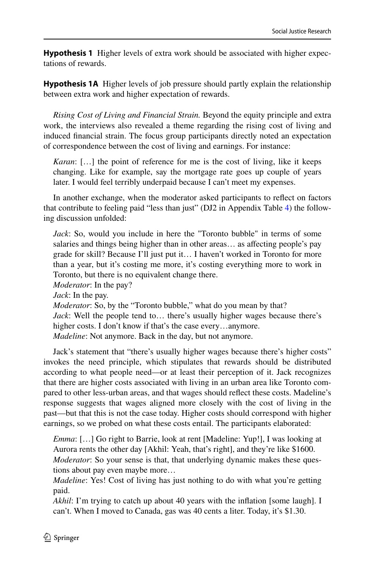**Hypothesis 1** Higher levels of extra work should be associated with higher expectations of rewards.

**Hypothesis 1A** Higher levels of job pressure should partly explain the relationship between extra work and higher expectation of rewards.

*Rising Cost of Living and Financial Strain.* Beyond the equity principle and extra work, the interviews also revealed a theme regarding the rising cost of living and induced fnancial strain. The focus group participants directly noted an expectation of correspondence between the cost of living and earnings. For instance:

*Karan*: […] the point of reference for me is the cost of living, like it keeps changing. Like for example, say the mortgage rate goes up couple of years later. I would feel terribly underpaid because I can't meet my expenses.

In another exchange, when the moderator asked participants to refect on factors that contribute to feeling paid "less than just" (DJ2 in Appendix Table [4\)](#page-23-5) the following discussion unfolded:

*Jack*: So, would you include in here the "Toronto bubble" in terms of some salaries and things being higher than in other areas… as afecting people's pay grade for skill? Because I'll just put it… I haven't worked in Toronto for more than a year, but it's costing me more, it's costing everything more to work in Toronto, but there is no equivalent change there.

*Moderator*: In the pay?

*Jack*: In the pay.

*Moderator*: So, by the "Toronto bubble," what do you mean by that? *Jack*: Well the people tend to… there's usually higher wages because there's higher costs. I don't know if that's the case every...anymore. *Madeline*: Not anymore. Back in the day, but not anymore.

Jack's statement that "there's usually higher wages because there's higher costs" invokes the need principle, which stipulates that rewards should be distributed according to what people need—or at least their perception of it. Jack recognizes that there are higher costs associated with living in an urban area like Toronto compared to other less-urban areas, and that wages should refect these costs. Madeline's response suggests that wages aligned more closely with the cost of living in the past—but that this is not the case today. Higher costs should correspond with higher earnings, so we probed on what these costs entail. The participants elaborated:

*Emma*: […] Go right to Barrie, look at rent [Madeline: Yup!], I was looking at Aurora rents the other day [Akhil: Yeah, that's right], and they're like \$1600. *Moderator*: So your sense is that, that underlying dynamic makes these questions about pay even maybe more…

*Madeline*: Yes! Cost of living has just nothing to do with what you're getting paid.

*Akhil*: I'm trying to catch up about 40 years with the infation [some laugh]. I can't. When I moved to Canada, gas was 40 cents a liter. Today, it's \$1.30.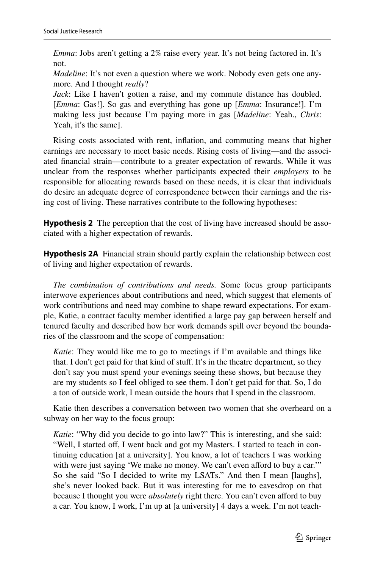*Emma*: Jobs aren't getting a 2% raise every year. It's not being factored in. It's not.

*Madeline*: It's not even a question where we work. Nobody even gets one anymore. And I thought *really*?

*Jack*: Like I haven't gotten a raise, and my commute distance has doubled. [*Emma*: Gas!]. So gas and everything has gone up [*Emma*: Insurance!]. I'm making less just because I'm paying more in gas [*Madeline*: Yeah., *Chris*: Yeah, it's the same].

Rising costs associated with rent, infation, and commuting means that higher earnings are necessary to meet basic needs. Rising costs of living—and the associated fnancial strain—contribute to a greater expectation of rewards. While it was unclear from the responses whether participants expected their *employers* to be responsible for allocating rewards based on these needs, it is clear that individuals do desire an adequate degree of correspondence between their earnings and the rising cost of living. These narratives contribute to the following hypotheses:

<span id="page-10-0"></span>**Hypothesis 2** The perception that the cost of living have increased should be associated with a higher expectation of rewards.

**Hypothesis 2A** Financial strain should partly explain the relationship between cost of living and higher expectation of rewards.

*The combination of contributions and needs.* Some focus group participants interwove experiences about contributions and need, which suggest that elements of work contributions and need may combine to shape reward expectations. For example, Katie, a contract faculty member identifed a large pay gap between herself and tenured faculty and described how her work demands spill over beyond the boundaries of the classroom and the scope of compensation:

*Katie*: They would like me to go to meetings if I'm available and things like that. I don't get paid for that kind of stuf. It's in the theatre department, so they don't say you must spend your evenings seeing these shows, but because they are my students so I feel obliged to see them. I don't get paid for that. So, I do a ton of outside work, I mean outside the hours that I spend in the classroom.

Katie then describes a conversation between two women that she overheard on a subway on her way to the focus group:

*Katie*: "Why did you decide to go into law?" This is interesting, and she said: "Well, I started off, I went back and got my Masters. I started to teach in continuing education [at a university]. You know, a lot of teachers I was working with were just saying 'We make no money. We can't even afford to buy a car.'" So she said "So I decided to write my LSATs." And then I mean [laughs], she's never looked back. But it was interesting for me to eavesdrop on that because I thought you were *absolutely* right there. You can't even afford to buy a car. You know, I work, I'm up at [a university] 4 days a week. I'm not teach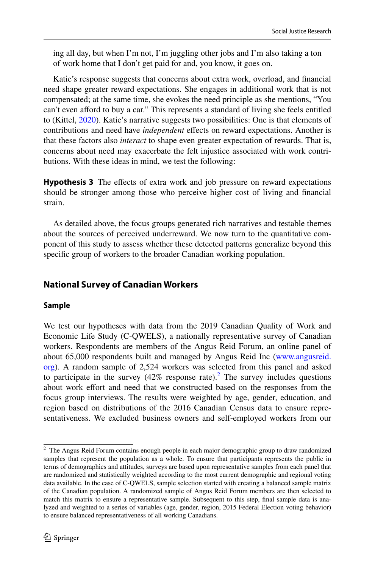ing all day, but when I'm not, I'm juggling other jobs and I'm also taking a ton of work home that I don't get paid for and, you know, it goes on.

Katie's response suggests that concerns about extra work, overload, and fnancial need shape greater reward expectations. She engages in additional work that is not compensated; at the same time, she evokes the need principle as she mentions, "You can't even afford to buy a car." This represents a standard of living she feels entitled to (Kittel, [2020](#page-24-3)). Katie's narrative suggests two possibilities: One is that elements of contributions and need have *independent* efects on reward expectations. Another is that these factors also *interact* to shape even greater expectation of rewards. That is, concerns about need may exacerbate the felt injustice associated with work contributions. With these ideas in mind, we test the following:

<span id="page-11-1"></span>**Hypothesis 3** The effects of extra work and job pressure on reward expectations should be stronger among those who perceive higher cost of living and fnancial strain.

As detailed above, the focus groups generated rich narratives and testable themes about the sources of perceived underreward. We now turn to the quantitative component of this study to assess whether these detected patterns generalize beyond this specifc group of workers to the broader Canadian working population.

### **National Survey of Canadian Workers**

### **Sample**

We test our hypotheses with data from the 2019 Canadian Quality of Work and Economic Life Study (C-QWELS), a nationally representative survey of Canadian workers. Respondents are members of the Angus Reid Forum, an online panel of about 65,000 respondents built and managed by Angus Reid Inc ([www.angusreid.](http://www.angusreid.org) [org](http://www.angusreid.org)). A random sample of 2,524 workers was selected from this panel and asked to participate in the survey  $(42\%$  $(42\%$  $(42\%$  response rate).<sup>2</sup> The survey includes questions about work efort and need that we constructed based on the responses from the focus group interviews. The results were weighted by age, gender, education, and region based on distributions of the 2016 Canadian Census data to ensure representativeness. We excluded business owners and self-employed workers from our

<span id="page-11-0"></span><sup>&</sup>lt;sup>2</sup> The Angus Reid Forum contains enough people in each major demographic group to draw randomized samples that represent the population as a whole. To ensure that participants represents the public in terms of demographics and attitudes, surveys are based upon representative samples from each panel that are randomized and statistically weighted according to the most current demographic and regional voting data available. In the case of C-QWELS, sample selection started with creating a balanced sample matrix of the Canadian population. A randomized sample of Angus Reid Forum members are then selected to match this matrix to ensure a representative sample. Subsequent to this step, fnal sample data is analyzed and weighted to a series of variables (age, gender, region, 2015 Federal Election voting behavior) to ensure balanced representativeness of all working Canadians.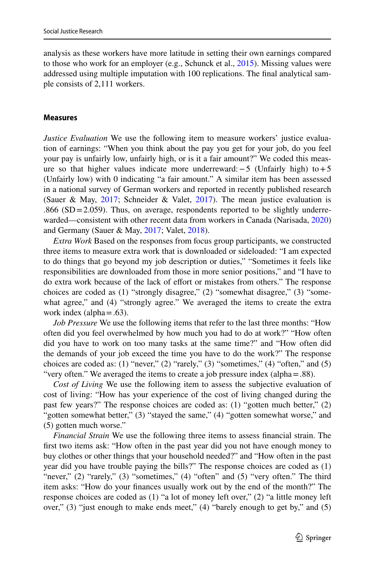analysis as these workers have more latitude in setting their own earnings compared to those who work for an employer (e.g., Schunck et al., [2015\)](#page-25-4). Missing values were addressed using multiple imputation with 100 replications. The fnal analytical sample consists of 2,111 workers.

#### **Measures**

*Justice Evaluation* We use the following item to measure workers' justice evaluation of earnings: "When you think about the pay you get for your job, do you feel your pay is unfairly low, unfairly high, or is it a fair amount?" We coded this measure so that higher values indicate more underreward:−5 (Unfairly high) to+5 (Unfairly low) with 0 indicating "a fair amount." A similar item has been assessed in a national survey of German workers and reported in recently published research (Sauer & May,  $2017$ ; Schneider & Valet,  $2017$ ). The mean justice evaluation is  $.866$  (SD = 2.059). Thus, on average, respondents reported to be slightly underrewarded—consistent with other recent data from workers in Canada (Narisada, [2020](#page-25-13)) and Germany (Sauer & May, [2017](#page-25-9); Valet, [2018](#page-25-10)).

*Extra Work* Based on the responses from focus group participants, we constructed three items to measure extra work that is downloaded or sideloaded: "I am expected to do things that go beyond my job description or duties," "Sometimes it feels like responsibilities are downloaded from those in more senior positions," and "I have to do extra work because of the lack of efort or mistakes from others." The response choices are coded as (1) "strongly disagree," (2) "somewhat disagree," (3) "somewhat agree," and (4) "strongly agree." We averaged the items to create the extra work index (alpha $=$ .63).

*Job Pressure* We use the following items that refer to the last three months: "How often did you feel overwhelmed by how much you had to do at work?" "How often did you have to work on too many tasks at the same time?" and "How often did the demands of your job exceed the time you have to do the work?" The response choices are coded as:  $(1)$  "never,"  $(2)$  "rarely,"  $(3)$  "sometimes,"  $(4)$  "often," and  $(5)$ "very often." We averaged the items to create a job pressure index (alpha=.88).

*Cost of Living* We use the following item to assess the subjective evaluation of cost of living: "How has your experience of the cost of living changed during the past few years?" The response choices are coded as: (1) "gotten much better," (2) "gotten somewhat better," (3) "stayed the same," (4) "gotten somewhat worse," and (5) gotten much worse."

*Financial Strain* We use the following three items to assess fnancial strain. The frst two items ask: "How often in the past year did you not have enough money to buy clothes or other things that your household needed?" and "How often in the past year did you have trouble paying the bills?" The response choices are coded as (1) "never," (2) "rarely," (3) "sometimes," (4) "often" and (5) "very often." The third item asks: "How do your fnances usually work out by the end of the month?" The response choices are coded as (1) "a lot of money left over," (2) "a little money left over," (3) "just enough to make ends meet," (4) "barely enough to get by," and (5)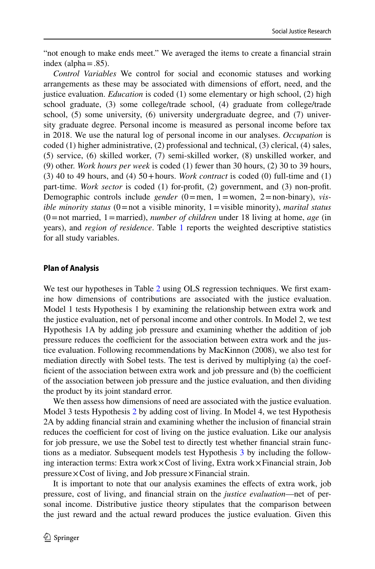"not enough to make ends meet." We averaged the items to create a fnancial strain index (alpha $=$ .85).

*Control Variables* We control for social and economic statuses and working arrangements as these may be associated with dimensions of efort, need, and the justice evaluation. *Education* is coded (1) some elementary or high school, (2) high school graduate, (3) some college/trade school, (4) graduate from college/trade school, (5) some university, (6) university undergraduate degree, and (7) university graduate degree. Personal income is measured as personal income before tax in 2018. We use the natural log of personal income in our analyses. *Occupation* is coded (1) higher administrative, (2) professional and technical, (3) clerical, (4) sales, (5) service, (6) skilled worker, (7) semi-skilled worker, (8) unskilled worker, and (9) other. *Work hours per week* is coded (1) fewer than 30 hours, (2) 30 to 39 hours, (3) 40 to 49 hours, and (4)  $50 +$  hours. *Work contract* is coded (0) full-time and (1) part-time. *Work sector* is coded (1) for-proft, (2) government, and (3) non-proft. Demographic controls include *gender* (0=men, 1=women, 2=non-binary), *visible minority status* (0=not a visible minority, 1=visible minority), *marital status* (0=not married, 1=married), *number of children* under 18 living at home, *age* (in years), and *region of residence*. Table [1](#page-14-0) reports the weighted descriptive statistics for all study variables.

### **Plan of Analysis**

We test our hypotheses in Table [2](#page-15-0) using OLS regression techniques. We first examine how dimensions of contributions are associated with the justice evaluation. Model 1 tests Hypothesis 1 by examining the relationship between extra work and the justice evaluation, net of personal income and other controls. In Model 2, we test Hypothesis 1A by adding job pressure and examining whether the addition of job pressure reduces the coefficient for the association between extra work and the justice evaluation. Following recommendations by MacKinnon (2008), we also test for mediation directly with Sobel tests. The test is derived by multiplying (a) the coefficient of the association between extra work and job pressure and (b) the coefficient of the association between job pressure and the justice evaluation, and then dividing the product by its joint standard error.

We then assess how dimensions of need are associated with the justice evaluation. Model 3 tests Hypothesis [2](#page-10-0) by adding cost of living. In Model 4, we test Hypothesis 2A by adding fnancial strain and examining whether the inclusion of fnancial strain reduces the coefficient for cost of living on the justice evaluation. Like our analysis for job pressure, we use the Sobel test to directly test whether fnancial strain functions as a mediator. Subsequent models test Hypothesis [3](#page-11-1) by including the following interaction terms: Extra work×Cost of living, Extra work×Financial strain, Job  $pressure \times Cost$  of living, and Job pressure  $\times$  Financial strain.

It is important to note that our analysis examines the efects of extra work, job pressure, cost of living, and fnancial strain on the *justice evaluation*—net of personal income. Distributive justice theory stipulates that the comparison between the just reward and the actual reward produces the justice evaluation. Given this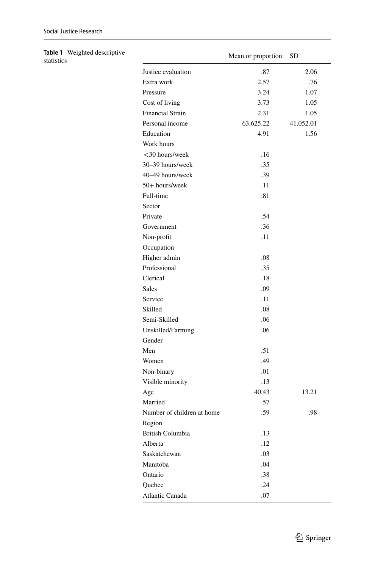<span id="page-14-0"></span>

| Table 1 Weighted descriptive<br>statistics |                            | Mean or proportion | SD        |  |
|--------------------------------------------|----------------------------|--------------------|-----------|--|
|                                            | Justice evaluation         | .87                | 2.06      |  |
|                                            | Extra work                 | 2.57               | .76       |  |
|                                            | Pressure                   | 3.24               | 1.07      |  |
|                                            | Cost of living             | 3.73               | 1.05      |  |
|                                            | Financial Strain           | 2.31               | 1.05      |  |
|                                            | Personal income            | 63,625.22          | 41,052.01 |  |
|                                            | Education                  | 4.91               | 1.56      |  |
|                                            | Work hours                 |                    |           |  |
|                                            | <30 hours/week             | .16                |           |  |
|                                            | 30-39 hours/week           | .35                |           |  |
|                                            | 40-49 hours/week           | .39                |           |  |
|                                            | 50+ hours/week             | .11                |           |  |
|                                            | Full-time                  | .81                |           |  |
|                                            | Sector                     |                    |           |  |
|                                            | Private                    | .54                |           |  |
|                                            | Government                 | .36                |           |  |
|                                            | Non-profit                 | .11                |           |  |
|                                            | Occupation                 |                    |           |  |
|                                            | Higher admin               | .08                |           |  |
|                                            | Professional               | .35                |           |  |
|                                            | Clerical                   | .18                |           |  |
|                                            | Sales                      | .09                |           |  |
|                                            | Service                    | .11                |           |  |
|                                            | Skilled                    | .08                |           |  |
|                                            | Semi-Skilled               | .06                |           |  |
|                                            | Unskilled/Farming          | .06                |           |  |
|                                            | Gender                     |                    |           |  |
|                                            | Men                        | .51                |           |  |
|                                            | Women                      | .49                |           |  |
|                                            | Non-binary                 | .01                |           |  |
|                                            | Visible minority           | .13                |           |  |
|                                            | Age                        | 40.43              | 13.21     |  |
|                                            | Married                    | .57                |           |  |
|                                            | Number of children at home | .59                | .98       |  |
|                                            | Region                     |                    |           |  |
|                                            | British Columbia           | .13                |           |  |
|                                            | Alberta                    | .12                |           |  |
|                                            | Saskatchewan               | $.03\,$            |           |  |
|                                            | Manitoba                   | .04                |           |  |
|                                            | Ontario                    | .38                |           |  |
|                                            | Quebec                     | .24                |           |  |
|                                            | Atlantic Canada            | .07                |           |  |
|                                            |                            |                    |           |  |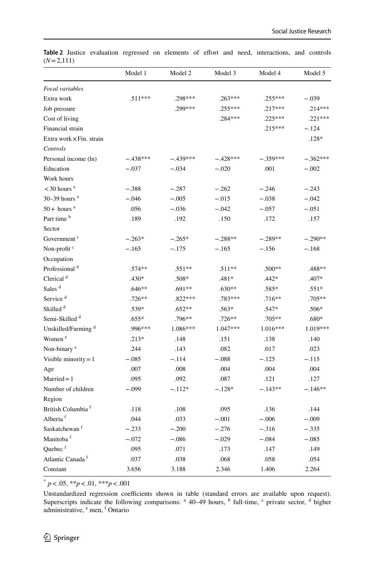|                                 | Model 1    | Model 2    | Model 3    | Model 4    | Model 5    |
|---------------------------------|------------|------------|------------|------------|------------|
| Focal variables                 |            |            |            |            |            |
| Extra work                      | $.511***$  | .298***    | $.263***$  | $.255***$  | $-.039$    |
| Job pressure                    |            | .299***    | $.255***$  | .217***    | $.214***$  |
| Cost of living                  |            |            | $.284***$  | $.225***$  | $.221***$  |
| Financial strain                |            |            |            | $.215***$  | $-.124$    |
| Extra work $\times$ Fin. strain |            |            |            |            | $.128*$    |
| Controls                        |            |            |            |            |            |
| Personal income (ln)            | $-.438***$ | $-.439***$ | $-.428***$ | $-.359***$ | $-.362***$ |
| Education                       | $-.037$    | $-.034$    | $-.020$    | .001       | $-.002$    |
| Work hours                      |            |            |            |            |            |
| $<$ 30 hours $a$                | $-.388$    | $-.287$    | $-.262$    | $-.246$    | $-.243$    |
| $30-39$ hours <sup>a</sup>      | $-.046$    | $-.005$    | $-.015$    | $-.038$    | $-.042$    |
| $50+$ hours <sup>a</sup>        | .056       | $-.036$    | $-.042$    | $-.057$    | $-.051$    |
| Part time <sup>b</sup>          | .189       | .192       | .150       | .172       | .157       |
| Sector                          |            |            |            |            |            |
| Government <sup>c</sup>         | $-.263*$   | $-.265*$   | $-.288**$  | $-.289**$  | $-.290**$  |
| Non-profit <sup>c</sup>         | $-.165$    | $-.175$    | $-.165$    | $-.156$    | $-.168$    |
| Occupation                      |            |            |            |            |            |
| Professional <sup>d</sup>       | .574**     | $.551**$   | $.511**$   | $.500**$   | .488**     |
| Clerical <sup>d</sup>           | $.430*$    | .508*      | .481*      | $.442*$    | .407*      |
| Sales <sup>d</sup>              | $.646**$   | $.691**$   | $.630**$   | .585*      | $.551*$    |
| Service <sup>d</sup>            | $.726**$   | $.822***$  | .783***    | $.716**$   | .705**     |
| Skilled <sup>d</sup>            | $.539*$    | $.652**$   | $.563*$    | .547*      | $.506*$    |
| Semi-Skilled <sup>d</sup>       | $.655*$    | $.796**$   | $.726**$   | $.705**$   | .680*      |
| Unskilled/Farming <sup>d</sup>  | .996***    | 1.086***   | 1.047***   | 1.016***   | 1.019***   |
| Women <sup>e</sup>              | $.213*$    | .148       | .151       | .138       | .140       |
| Non-binary <sup>e</sup>         | .244       | .143       | .082       | .017       | .023       |
| Visible minority = $1$          | $-.085$    | $-.114$    | $-.088$    | $-.125$    | $-.115$    |
| Age                             | .007       | .008       | .004       | .004       | .004       |
| $Married = 1$                   | .095       | .092       | .087       | .121       | .127       |
| Number of children              | $-.099$    | $-.112*$   | $-.128*$   | $-.143**$  | $-.146**$  |
| Region                          |            |            |            |            |            |
| British Columbia <sup>f</sup>   | .118       | .108       | .095       | .136       | .144       |
| Alberta <sup>f</sup>            | .044       | .033       | $-.001$    | $-.006$    | $-.009$    |
| Saskatchewan <sup>f</sup>       | $-.233$    | $-.200$    | $-.276$    | $-.316$    | $-.335$    |
| Manitoba <sup>f</sup>           | $-.072$    | $-.086$    | $-.029$    | $-.084$    | $-.085$    |
| Quebec <sup>f</sup>             | .095       | .071       | .173       | .147       | .149       |
| Atlantic Canada <sup>f</sup>    | .037       | .038       | .068       | .058       | .054       |
| Constant                        | 3.656      | 3.188      | 2.346      | 1.406      | 2.264      |

<span id="page-15-0"></span>Table 2 Justice evaluation regressed on elements of effort and need, interactions, and controls (*N*=2,111)

\* *p*<.05, \*\**p*<.01, \*\*\**p*<.001

Unstandardized regression coefficients shown in table (standard errors are available upon request). Superscripts indicate the following comparisons:  $a^4 + b^4 + c^6$  full-time,  $c^6$  private sector,  $a^6$  higher administrative, <sup>e</sup> men, <sup>f</sup> Ontario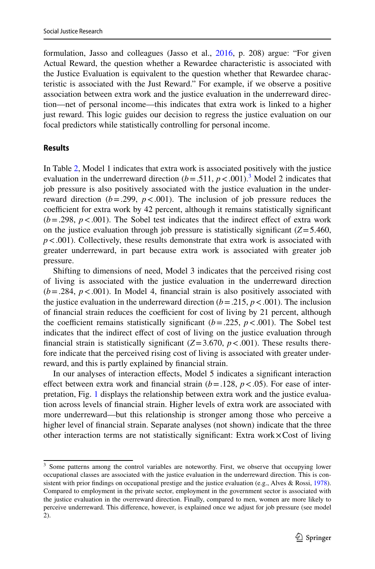formulation, Jasso and colleagues (Jasso et al., [2016,](#page-24-5) p. 208) argue: "For given Actual Reward, the question whether a Rewardee characteristic is associated with the Justice Evaluation is equivalent to the question whether that Rewardee characteristic is associated with the Just Reward." For example, if we observe a positive association between extra work and the justice evaluation in the underreward direction—net of personal income—this indicates that extra work is linked to a higher just reward. This logic guides our decision to regress the justice evaluation on our focal predictors while statistically controlling for personal income.

#### **Results**

In Table [2,](#page-15-0) Model 1 indicates that extra work is associated positively with the justice evaluation in the underreward direction  $(b=.511, p<.001)$ .<sup>[3](#page-16-0)</sup> Model 2 indicates that job pressure is also positively associated with the justice evaluation in the underreward direction ( $b = .299$ ,  $p < .001$ ). The inclusion of job pressure reduces the coefficient for extra work by 42 percent, although it remains statistically significant  $(b = .298, p < .001)$ . The Sobel test indicates that the indirect effect of extra work on the justice evaluation through job pressure is statistically significant  $(Z=5.460)$ ,  $p < .001$ ). Collectively, these results demonstrate that extra work is associated with greater underreward, in part because extra work is associated with greater job pressure.

Shifting to dimensions of need, Model 3 indicates that the perceived rising cost of living is associated with the justice evaluation in the underreward direction  $(b=.284, p<.001)$ . In Model 4, financial strain is also positively associated with the justice evaluation in the underreward direction  $(b = .215, p < .001)$ . The inclusion of financial strain reduces the coefficient for cost of living by 21 percent, although the coefficient remains statistically significant  $(b=.225, p<.001)$ . The Sobel test indicates that the indirect efect of cost of living on the justice evaluation through financial strain is statistically significant  $(Z=3.670, p<.001)$ . These results therefore indicate that the perceived rising cost of living is associated with greater underreward, and this is partly explained by fnancial strain.

In our analyses of interaction efects, Model 5 indicates a signifcant interaction effect between extra work and financial strain  $(b=.128, p<.05)$ . For ease of interpretation, Fig. [1](#page-17-0) displays the relationship between extra work and the justice evaluation across levels of fnancial strain. Higher levels of extra work are associated with more underreward—but this relationship is stronger among those who perceive a higher level of fnancial strain. Separate analyses (not shown) indicate that the three other interaction terms are not statistically signifcant: Extra work×Cost of living

<span id="page-16-0"></span><sup>&</sup>lt;sup>3</sup> Some patterns among the control variables are noteworthy. First, we observe that occupying lower occupational classes are associated with the justice evaluation in the underreward direction. This is con-sistent with prior findings on occupational prestige and the justice evaluation (e.g., Alves & Rossi, [1978\)](#page-23-0). Compared to employment in the private sector, employment in the government sector is associated with the justice evaluation in the overreward direction. Finally, compared to men, women are more likely to perceive underreward. This diference, however, is explained once we adjust for job pressure (see model 2).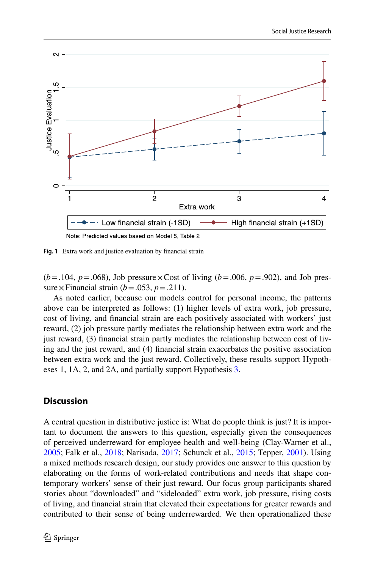

<span id="page-17-0"></span>**Fig. 1** Extra work and justice evaluation by fnancial strain

 $(b=.104, p=.068)$ , Job pressure  $\times$  Cost of living  $(b=.006, p=.902)$ , and Job pressure  $\times$  Financial strain (*b* = .053, *p* = .211).

As noted earlier, because our models control for personal income, the patterns above can be interpreted as follows: (1) higher levels of extra work, job pressure, cost of living, and fnancial strain are each positively associated with workers' just reward, (2) job pressure partly mediates the relationship between extra work and the just reward, (3) fnancial strain partly mediates the relationship between cost of living and the just reward, and (4) fnancial strain exacerbates the positive association between extra work and the just reward. Collectively, these results support Hypotheses 1, 1A, 2, and 2A, and partially support Hypothesis [3.](#page-11-1)

### **Discussion**

A central question in distributive justice is: What do people think is just? It is important to document the answers to this question, especially given the consequences of perceived underreward for employee health and well-being (Clay-Warner et al., [2005](#page-24-21); Falk et al., [2018](#page-24-22); Narisada, [2017](#page-25-20); Schunck et al., [2015;](#page-25-4) Tepper, [2001\)](#page-25-3). Using a mixed methods research design, our study provides one answer to this question by elaborating on the forms of work-related contributions and needs that shape contemporary workers' sense of their just reward. Our focus group participants shared stories about "downloaded" and "sideloaded" extra work, job pressure, rising costs of living, and fnancial strain that elevated their expectations for greater rewards and contributed to their sense of being underrewarded. We then operationalized these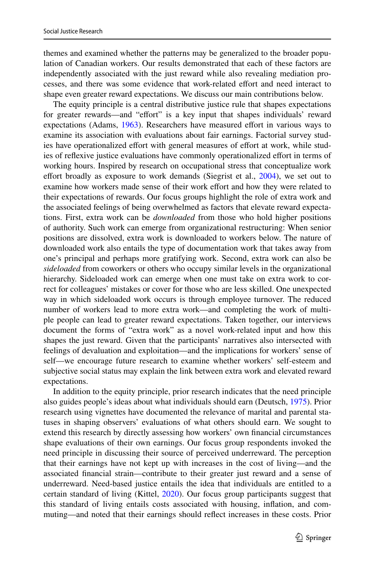themes and examined whether the patterns may be generalized to the broader population of Canadian workers. Our results demonstrated that each of these factors are independently associated with the just reward while also revealing mediation processes, and there was some evidence that work-related efort and need interact to shape even greater reward expectations. We discuss our main contributions below.

The equity principle is a central distributive justice rule that shapes expectations for greater rewards—and "effort" is a key input that shapes individuals' reward expectations (Adams, [1963](#page-23-2)). Researchers have measured effort in various ways to examine its association with evaluations about fair earnings. Factorial survey studies have operationalized effort with general measures of effort at work, while studies of refexive justice evaluations have commonly operationalized efort in terms of working hours. Inspired by research on occupational stress that conceptualize work effort broadly as exposure to work demands (Siegrist et al.,  $2004$ ), we set out to examine how workers made sense of their work efort and how they were related to their expectations of rewards. Our focus groups highlight the role of extra work and the associated feelings of being overwhelmed as factors that elevate reward expectations. First, extra work can be *downloaded* from those who hold higher positions of authority. Such work can emerge from organizational restructuring: When senior positions are dissolved, extra work is downloaded to workers below. The nature of downloaded work also entails the type of documentation work that takes away from one's principal and perhaps more gratifying work. Second, extra work can also be *sideloaded* from coworkers or others who occupy similar levels in the organizational hierarchy. Sideloaded work can emerge when one must take on extra work to correct for colleagues' mistakes or cover for those who are less skilled. One unexpected way in which sideloaded work occurs is through employee turnover. The reduced number of workers lead to more extra work—and completing the work of multiple people can lead to greater reward expectations. Taken together, our interviews document the forms of "extra work" as a novel work-related input and how this shapes the just reward. Given that the participants' narratives also intersected with feelings of devaluation and exploitation—and the implications for workers' sense of self—we encourage future research to examine whether workers' self-esteem and subjective social status may explain the link between extra work and elevated reward expectations.

In addition to the equity principle, prior research indicates that the need principle also guides people's ideas about what individuals should earn (Deutsch, [1975\)](#page-24-6). Prior research using vignettes have documented the relevance of marital and parental statuses in shaping observers' evaluations of what others should earn. We sought to extend this research by directly assessing how workers' own fnancial circumstances shape evaluations of their own earnings. Our focus group respondents invoked the need principle in discussing their source of perceived underreward. The perception that their earnings have not kept up with increases in the cost of living—and the associated fnancial strain—contribute to their greater just reward and a sense of underreward. Need-based justice entails the idea that individuals are entitled to a certain standard of living (Kittel, [2020\)](#page-24-3). Our focus group participants suggest that this standard of living entails costs associated with housing, infation, and commuting—and noted that their earnings should refect increases in these costs. Prior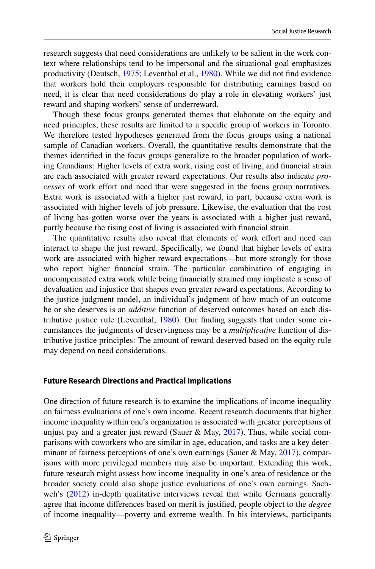research suggests that need considerations are unlikely to be salient in the work context where relationships tend to be impersonal and the situational goal emphasizes productivity (Deutsch, [1975](#page-24-6); Leventhal et al., [1980](#page-25-21)). While we did not fnd evidence that workers hold their employers responsible for distributing earnings based on need, it is clear that need considerations do play a role in elevating workers' just reward and shaping workers' sense of underreward.

Though these focus groups generated themes that elaborate on the equity and need principles, these results are limited to a specifc group of workers in Toronto. We therefore tested hypotheses generated from the focus groups using a national sample of Canadian workers. Overall, the quantitative results demonstrate that the themes identifed in the focus groups generalize to the broader population of working Canadians: Higher levels of extra work, rising cost of living, and fnancial strain are each associated with greater reward expectations. Our results also indicate *processes* of work efort and need that were suggested in the focus group narratives. Extra work is associated with a higher just reward, in part, because extra work is associated with higher levels of job pressure. Likewise, the evaluation that the cost of living has gotten worse over the years is associated with a higher just reward, partly because the rising cost of living is associated with fnancial strain.

The quantitative results also reveal that elements of work effort and need can interact to shape the just reward. Specifcally, we found that higher levels of extra work are associated with higher reward expectations—but more strongly for those who report higher fnancial strain. The particular combination of engaging in uncompensated extra work while being fnancially strained may implicate a sense of devaluation and injustice that shapes even greater reward expectations. According to the justice judgment model, an individual's judgment of how much of an outcome he or she deserves is an *additive* function of deserved outcomes based on each distributive justice rule (Leventhal, [1980\)](#page-25-22). Our fnding suggests that under some circumstances the judgments of deservingness may be a *multiplicative* function of distributive justice principles: The amount of reward deserved based on the equity rule may depend on need considerations.

### **Future Research Directions and Practical Implications**

One direction of future research is to examine the implications of income inequality on fairness evaluations of one's own income. Recent research documents that higher income inequality within one's organization is associated with greater perceptions of unjust pay and a greater just reward (Sauer & May,  $2017$ ). Thus, while social comparisons with coworkers who are similar in age, education, and tasks are a key deter-minant of fairness perceptions of one's own earnings (Sauer & May, [2017\)](#page-25-9), comparisons with more privileged members may also be important. Extending this work, future research might assess how income inequality in one's area of residence or the broader society could also shape justice evaluations of one's own earnings. Sach-weh's [\(2012](#page-25-23)) in-depth qualitative interviews reveal that while Germans generally agree that income diferences based on merit is justifed, people object to the *degree* of income inequality—poverty and extreme wealth. In his interviews, participants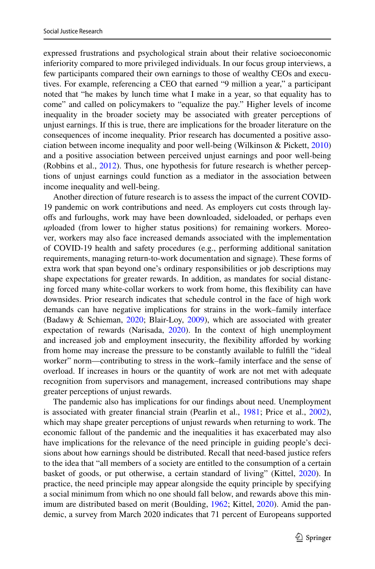expressed frustrations and psychological strain about their relative socioeconomic inferiority compared to more privileged individuals. In our focus group interviews, a few participants compared their own earnings to those of wealthy CEOs and executives. For example, referencing a CEO that earned "9 million a year," a participant noted that "he makes by lunch time what I make in a year, so that equality has to come" and called on policymakers to "equalize the pay." Higher levels of income inequality in the broader society may be associated with greater perceptions of unjust earnings. If this is true, there are implications for the broader literature on the consequences of income inequality. Prior research has documented a positive association between income inequality and poor well-being (Wilkinson & Pickett, [2010](#page-26-1)) and a positive association between perceived unjust earnings and poor well-being (Robbins et al., [2012\)](#page-25-1). Thus, one hypothesis for future research is whether perceptions of unjust earnings could function as a mediator in the association between income inequality and well-being.

Another direction of future research is to assess the impact of the current COVID-19 pandemic on work contributions and need. As employers cut costs through layofs and furloughs, work may have been downloaded, sideloaded, or perhaps even *up*loaded (from lower to higher status positions) for remaining workers. Moreover, workers may also face increased demands associated with the implementation of COVID-19 health and safety procedures (e.g., performing additional sanitation requirements, managing return-to-work documentation and signage). These forms of extra work that span beyond one's ordinary responsibilities or job descriptions may shape expectations for greater rewards. In addition, as mandates for social distancing forced many white-collar workers to work from home, this fexibility can have downsides. Prior research indicates that schedule control in the face of high work demands can have negative implications for strains in the work–family interface (Badawy & Schieman, [2020](#page-24-23); Blair-Loy, [2009\)](#page-24-24), which are associated with greater expectation of rewards (Narisada, [2020](#page-25-13)). In the context of high unemployment and increased job and employment insecurity, the fexibility aforded by working from home may increase the pressure to be constantly available to fulfll the "ideal worker" norm—contributing to stress in the work–family interface and the sense of overload. If increases in hours or the quantity of work are not met with adequate recognition from supervisors and management, increased contributions may shape greater perceptions of unjust rewards.

The pandemic also has implications for our fndings about need. Unemployment is associated with greater fnancial strain (Pearlin et al., [1981;](#page-25-24) Price et al., [2002\)](#page-25-25), which may shape greater perceptions of unjust rewards when returning to work. The economic fallout of the pandemic and the inequalities it has exacerbated may also have implications for the relevance of the need principle in guiding people's decisions about how earnings should be distributed. Recall that need-based justice refers to the idea that "all members of a society are entitled to the consumption of a certain basket of goods, or put otherwise, a certain standard of living" (Kittel, [2020](#page-24-3)). In practice, the need principle may appear alongside the equity principle by specifying a social minimum from which no one should fall below, and rewards above this minimum are distributed based on merit (Boulding, [1962](#page-24-25); Kittel, [2020\)](#page-24-3). Amid the pandemic, a survey from March 2020 indicates that 71 percent of Europeans supported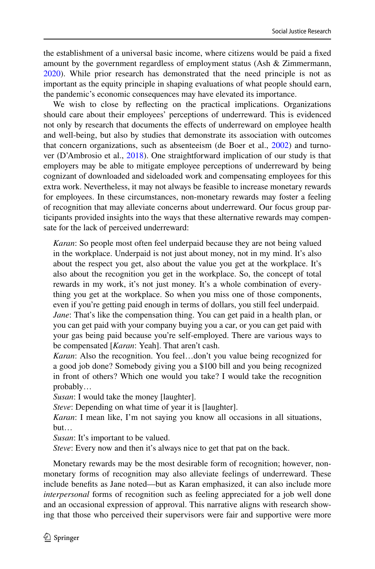the establishment of a universal basic income, where citizens would be paid a fxed amount by the government regardless of employment status (Ash & Zimmermann, [2020](#page-23-6)). While prior research has demonstrated that the need principle is not as important as the equity principle in shaping evaluations of what people should earn, the pandemic's economic consequences may have elevated its importance.

We wish to close by refecting on the practical implications. Organizations should care about their employees' perceptions of underreward. This is evidenced not only by research that documents the effects of underreward on employee health and well-being, but also by studies that demonstrate its association with outcomes that concern organizations, such as absenteeism (de Boer et al., [2002](#page-24-26)) and turnover (D'Ambrosio et al., [2018](#page-24-18)). One straightforward implication of our study is that employers may be able to mitigate employee perceptions of underreward by being cognizant of downloaded and sideloaded work and compensating employees for this extra work. Nevertheless, it may not always be feasible to increase monetary rewards for employees. In these circumstances, non-monetary rewards may foster a feeling of recognition that may alleviate concerns about underreward. Our focus group participants provided insights into the ways that these alternative rewards may compensate for the lack of perceived underreward:

*Karan*: So people most often feel underpaid because they are not being valued in the workplace. Underpaid is not just about money, not in my mind. It's also about the respect you get, also about the value you get at the workplace. It's also about the recognition you get in the workplace. So, the concept of total rewards in my work, it's not just money. It's a whole combination of everything you get at the workplace. So when you miss one of those components, even if you're getting paid enough in terms of dollars, you still feel underpaid. *Jane*: That's like the compensation thing. You can get paid in a health plan, or you can get paid with your company buying you a car, or you can get paid with your gas being paid because you're self-employed. There are various ways to be compensated [*Karan*: Yeah]. That aren't cash.

*Karan*: Also the recognition. You feel…don't you value being recognized for a good job done? Somebody giving you a \$100 bill and you being recognized in front of others? Which one would you take? I would take the recognition probably…

*Susan*: I would take the money [laughter].

*Steve*: Depending on what time of year it is [laughter].

*Karan*: I mean like, I'm not saying you know all occasions in all situations, but…

*Susan*: It's important to be valued.

*Steve*: Every now and then it's always nice to get that pat on the back.

Monetary rewards may be the most desirable form of recognition; however, nonmonetary forms of recognition may also alleviate feelings of underreward. These include benefts as Jane noted—but as Karan emphasized, it can also include more *interpersonal* forms of recognition such as feeling appreciated for a job well done and an occasional expression of approval. This narrative aligns with research showing that those who perceived their supervisors were fair and supportive were more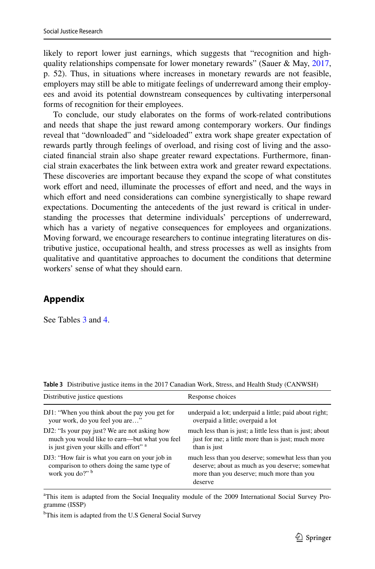likely to report lower just earnings, which suggests that "recognition and highquality relationships compensate for lower monetary rewards" (Sauer & May,  $2017$ , p. 52). Thus, in situations where increases in monetary rewards are not feasible, employers may still be able to mitigate feelings of underreward among their employees and avoid its potential downstream consequences by cultivating interpersonal forms of recognition for their employees.

To conclude, our study elaborates on the forms of work-related contributions and needs that shape the just reward among contemporary workers. Our fndings reveal that "downloaded" and "sideloaded" extra work shape greater expectation of rewards partly through feelings of overload, and rising cost of living and the associated fnancial strain also shape greater reward expectations. Furthermore, fnancial strain exacerbates the link between extra work and greater reward expectations. These discoveries are important because they expand the scope of what constitutes work effort and need, illuminate the processes of effort and need, and the ways in which effort and need considerations can combine synergistically to shape reward expectations. Documenting the antecedents of the just reward is critical in understanding the processes that determine individuals' perceptions of underreward, which has a variety of negative consequences for employees and organizations. Moving forward, we encourage researchers to continue integrating literatures on distributive justice, occupational health, and stress processes as well as insights from qualitative and quantitative approaches to document the conditions that determine workers' sense of what they should earn.

# **Appendix**

See Tables [3](#page-22-0) and [4](#page-23-5).

<span id="page-22-0"></span>

|  | Table 3 Distributive justice items in the 2017 Canadian Work, Stress, and Health Study (CANWSH) |  |  |  |  |  |  |  |  |  |  |  |  |
|--|-------------------------------------------------------------------------------------------------|--|--|--|--|--|--|--|--|--|--|--|--|
|--|-------------------------------------------------------------------------------------------------|--|--|--|--|--|--|--|--|--|--|--|--|

| Distributive justice questions                                                                                   | Response choices                                                                                                                                              |
|------------------------------------------------------------------------------------------------------------------|---------------------------------------------------------------------------------------------------------------------------------------------------------------|
| DJ1: "When you think about the pay you get for                                                                   | underpaid a lot; underpaid a little; paid about right;                                                                                                        |
| your work, do you feel you are"                                                                                  | overpaid a little; overpaid a lot                                                                                                                             |
| DJ2: "Is your pay just? We are not asking how                                                                    | much less than is just; a little less than is just; about                                                                                                     |
| much you would like to earn—but what you feel                                                                    | just for me; a little more than is just; much more                                                                                                            |
| is just given your skills and effort" a                                                                          | than is just                                                                                                                                                  |
| DJ3: "How fair is what you earn on your job in<br>comparison to others doing the same type of<br>work you do?" b | much less than you deserve; somewhat less than you<br>deserve; about as much as you deserve; somewhat<br>more than you deserve; much more than you<br>deserve |

<sup>a</sup>This item is adapted from the Social Inequality module of the 2009 International Social Survey Programme (ISSP)

<sup>b</sup>This item is adapted from the U.S General Social Survey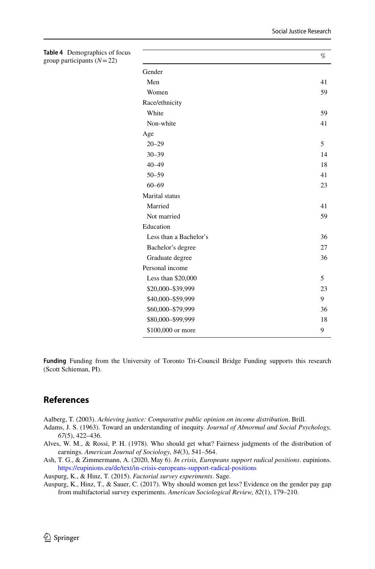<span id="page-23-5"></span>

| Table 4 Demographics of focus<br>group participants $(N=22)$ |                        | $\%$ |  |  |  |  |
|--------------------------------------------------------------|------------------------|------|--|--|--|--|
|                                                              | Gender                 |      |  |  |  |  |
|                                                              | Men                    | 41   |  |  |  |  |
|                                                              | Women                  | 59   |  |  |  |  |
|                                                              | Race/ethnicity         |      |  |  |  |  |
|                                                              | White                  | 59   |  |  |  |  |
|                                                              | Non-white              | 41   |  |  |  |  |
|                                                              | Age                    |      |  |  |  |  |
|                                                              | $20 - 29$              | 5    |  |  |  |  |
|                                                              | $30 - 39$              | 14   |  |  |  |  |
|                                                              | $40 - 49$              | 18   |  |  |  |  |
|                                                              | $50 - 59$              | 41   |  |  |  |  |
|                                                              | $60 - 69$              | 23   |  |  |  |  |
|                                                              | Marital status         |      |  |  |  |  |
|                                                              | Married                | 41   |  |  |  |  |
|                                                              | Not married            | 59   |  |  |  |  |
|                                                              | Education              |      |  |  |  |  |
|                                                              | Less than a Bachelor's | 36   |  |  |  |  |
|                                                              | Bachelor's degree      | 27   |  |  |  |  |
|                                                              | Graduate degree        | 36   |  |  |  |  |
|                                                              | Personal income        |      |  |  |  |  |
|                                                              | Less than \$20,000     | 5    |  |  |  |  |
|                                                              | \$20,000-\$39,999      | 23   |  |  |  |  |
|                                                              | \$40,000-\$59,999      | 9    |  |  |  |  |
|                                                              | \$60,000-\$79,999      | 36   |  |  |  |  |
|                                                              | \$80,000-\$99,999      | 18   |  |  |  |  |
|                                                              | \$100,000 or more      | 9    |  |  |  |  |

**Funding** Funding from the University of Toronto Tri-Council Bridge Funding supports this research (Scott Schieman, PI).

# **References**

<span id="page-23-4"></span>Aalberg, T. (2003). *Achieving justice: Comparative public opinion on income distribution*. Brill.

- <span id="page-23-2"></span>Adams, J. S. (1963). Toward an understanding of inequity. *Journal of Abnormal and Social Psychology, 67*(5), 422–436.
- <span id="page-23-0"></span>Alves, W. M., & Rossi, P. H. (1978). Who should get what? Fairness judgments of the distribution of earnings. *American Journal of Sociology, 84*(3), 541–564.
- <span id="page-23-6"></span>Ash, T. G., & Zimmermann, A. (2020, May 6). *In crisis, Europeans support radical positions*. eupinions. <https://eupinions.eu/de/text/in-crisis-europeans-support-radical-positions>

<span id="page-23-3"></span>Auspurg, K., & Hinz, T. (2015). *Factorial survey experiments*. Sage.

<span id="page-23-1"></span>Auspurg, K., Hinz, T., & Sauer, C. (2017). Why should women get less? Evidence on the gender pay gap from multifactorial survey experiments. *American Sociological Review, 82*(1), 179–210.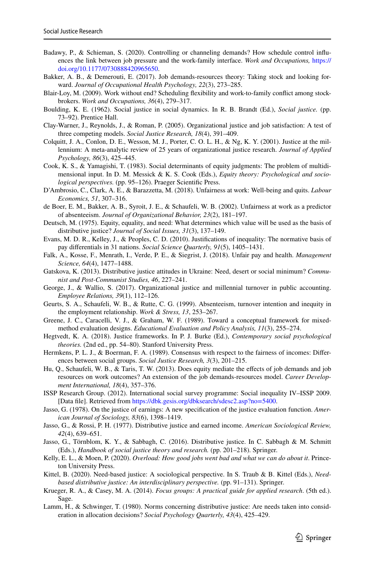- <span id="page-24-23"></span>Badawy, P., & Schieman, S. (2020). Controlling or channeling demands? How schedule control infuences the link between job pressure and the work-family interface. *Work and Occupations,* [https://](https://doi.org/10.1177/0730888420965650) [doi.org/10.1177/0730888420965650](https://doi.org/10.1177/0730888420965650).
- <span id="page-24-11"></span>Bakker, A. B., & Demerouti, E. (2017). Job demands-resources theory: Taking stock and looking forward. *Journal of Occupational Health Psychology, 22*(3), 273–285.
- <span id="page-24-24"></span>Blair-Loy, M. (2009). Work without end? Scheduling fexibility and work-to-family confict among stockbrokers. *Work and Occupations, 36*(4), 279–317.
- <span id="page-24-25"></span>Boulding, K. E. (1962). Social justice in social dynamics. In R. B. Brandt (Ed.), *Social justice.* (pp. 73–92). Prentice Hall.
- <span id="page-24-21"></span>Clay-Warner, J., Reynolds, J., & Roman, P. (2005). Organizational justice and job satisfaction: A test of three competing models. *Social Justice Research, 18*(4), 391–409.
- <span id="page-24-2"></span>Colquitt, J. A., Conlon, D. E., Wesson, M. J., Porter, C. O. L. H., & Ng, K. Y. (2001). Justice at the millennium: A meta-analytic review of 25 years of organizational justice research. *Journal of Applied Psychology, 86*(3), 425–445.
- <span id="page-24-10"></span>Cook, K. S., & Yamagishi, T. (1983). Social determinants of equity judgments: The problem of multidimensional input. In D. M. Messick & K. S. Cook (Eds.), *Equity theory: Psychological and sociological perspectives.* (pp. 95–126). Praeger Scientifc Press.
- <span id="page-24-18"></span>D'Ambrosio, C., Clark, A. E., & Barazzetta, M. (2018). Unfairness at work: Well-being and quits. *Labour Economics, 51*, 307–316.
- <span id="page-24-26"></span>de Boer, E. M., Bakker, A. B., Syroit, J. E., & Schaufeli, W. B. (2002). Unfairness at work as a predictor of absenteeism. *Journal of Organizational Behavior, 23*(2), 181–197.
- <span id="page-24-6"></span>Deutsch, M. (1975). Equity, equality, and need: What determines which value will be used as the basis of distributive justice? *Journal of Social Issues, 31*(3), 137–149.
- <span id="page-24-14"></span>Evans, M. D. R., Kelley, J., & Peoples, C. D. (2010). Justifcations of inequality: The normative basis of pay diferentials in 31 nations. *Social Science Quarterly, 91*(5), 1405–1431.
- <span id="page-24-22"></span>Falk, A., Kosse, F., Menrath, I., Verde, P. E., & Siegrist, J. (2018). Unfair pay and health. *Management Science, 64*(4), 1477–1488.
- <span id="page-24-7"></span>Gatskova, K. (2013). Distributive justice attitudes in Ukraine: Need, desert or social minimum? *Communist and Post-Communist Studies, 46*, 227–241.
- <span id="page-24-19"></span>George, J., & Wallio, S. (2017). Organizational justice and millennial turnover in public accounting. *Employee Relations, 39*(1), 112–126.
- <span id="page-24-20"></span>Geurts, S. A., Schaufeli, W. B., & Rutte, C. G. (1999). Absenteeism, turnover intention and inequity in the employment relationship. *Work & Stress, 13*, 253–267.
- <span id="page-24-15"></span>Greene, J. C., Caracelli, V. J., & Graham, W. F. (1989). Toward a conceptual framework for mixedmethod evaluation designs. *Educational Evaluation and Policy Analysis, 11*(3), 255–274.
- <span id="page-24-4"></span>Hegtvedt, K. A. (2018). Justice frameworks. In P. J. Burke (Ed.), *Contemporary social psychological theories.* (2nd ed., pp. 54–80). Stanford University Press.
- <span id="page-24-8"></span>Hermkens, P. L. J., & Boerman, F. A. (1989). Consensus with respect to the fairness of incomes: Diferences between social groups. *Social Justice Research, 3*(3), 201–215.
- <span id="page-24-12"></span>Hu, Q., Schaufeli, W. B., & Taris, T. W. (2013). Does equity mediate the efects of job demands and job resources on work outcomes? An extension of the job demands-resources model. *Career Development International, 18*(4), 357–376.
- <span id="page-24-1"></span>ISSP Research Group. (2012). International social survey programme: Social inequality IV–ISSP 2009. [Data fle]. Retrieved from<https://dbk.gesis.org/dbksearch/sdesc2.asp?no=5400>.
- <span id="page-24-0"></span>Jasso, G. (1978). On the justice of earnings: A new specifcation of the justice evaluation function. *American Journal of Sociology, 83*(6), 1398–1419.
- <span id="page-24-9"></span>Jasso, G., & Rossi, P. H. (1977). Distributive justice and earned income. *American Sociological Review, 42*(4), 639–651.
- <span id="page-24-5"></span>Jasso, G., Törnblom, K. Y., & Sabbagh, C. (2016). Distributive justice. In C. Sabbagh & M. Schmitt (Eds.), *Handbook of social justice theory and research.* (pp. 201–218). Springer.
- <span id="page-24-17"></span>Kelly, E. L., & Moen, P. (2020). *Overload: How good jobs went bad and what we can do about it*. Princeton University Press.
- <span id="page-24-3"></span>Kittel, B. (2020). Need-based justice: A sociological perspective. In S. Traub & B. Kittel (Eds.), *Needbased distributive justice: An interdisciplinary perspective.* (pp. 91–131). Springer.
- <span id="page-24-16"></span>Krueger, R. A., & Casey, M. A. (2014). *Focus groups: A practical guide for applied research*. (5th ed.). Sage.
- <span id="page-24-13"></span>Lamm, H., & Schwinger, T. (1980). Norms concerning distributive justice: Are needs taken into consideration in allocation decisions? *Social Psychology Quarterly, 43*(4), 425–429.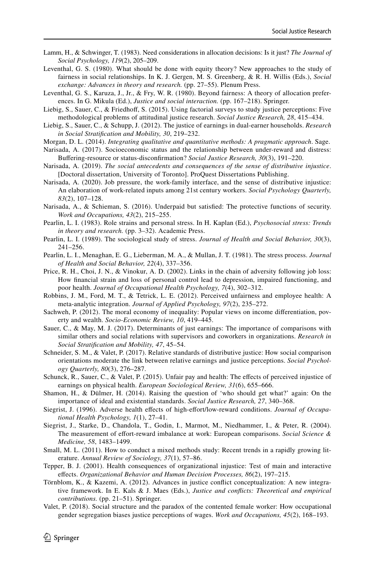- <span id="page-25-14"></span>Lamm, H., & Schwinger, T. (1983). Need considerations in allocation decisions: Is it just? *The Journal of Social Psychology, 119*(2), 205–209.
- <span id="page-25-22"></span>Leventhal, G. S. (1980). What should be done with equity theory? New approaches to the study of fairness in social relationships. In K. J. Gergen, M. S. Greenberg, & R. H. Willis (Eds.), *Social exchange: Advances in theory and research.* (pp. 27–55). Plenum Press.
- <span id="page-25-21"></span>Leventhal, G. S., Karuza, J., Jr., & Fry, W. R. (1980). Beyond fairness: A theory of allocation preferences. In G. Mikula (Ed.), *Justice and social interaction.* (pp. 167–218). Springer.
- <span id="page-25-6"></span>Liebig, S., Sauer, C., & Friedhof, S. (2015). Using factorial surveys to study justice perceptions: Five methodological problems of attitudinal justice research. *Social Justice Research, 28*, 415–434.
- <span id="page-25-8"></span>Liebig, S., Sauer, C., & Schupp, J. (2012). The justice of earnings in dual-earner households. *Research in Social Stratifcation and Mobility, 30*, 219–232.
- <span id="page-25-16"></span>Morgan, D. L. (2014). *Integrating qualitative and quantitative methods: A pragmatic approach*. Sage.
- <span id="page-25-20"></span>Narisada, A. (2017). Socioeconomic status and the relationship between under-reward and distress: Bufering-resource or status-disconfrmation? *Social Justice Research, 30*(3), 191–220.
- <span id="page-25-0"></span>Narisada, A. (2019). *The social antecedents and consequences of the sense of distributive injustice*. [Doctoral dissertation, University of Toronto]. ProQuest Dissertations Publishing.
- <span id="page-25-13"></span>Narisada, A. (2020). Job pressure, the work-family interface, and the sense of distributive injustice: An elaboration of work-related inputs among 21st century workers. *Social Psychology Quarterly, 83*(2), 107–128.
- <span id="page-25-2"></span>Narisada, A., & Schieman, S. (2016). Underpaid but satisfed: The protective functions of security. *Work and Occupations, 43*(2), 215–255.
- <span id="page-25-17"></span>Pearlin, L. I. (1983). Role strains and personal stress. In H. Kaplan (Ed.), *Psychosocial stress: Trends in theory and research.* (pp. 3–32). Academic Press.
- <span id="page-25-18"></span>Pearlin, L. I. (1989). The sociological study of stress. *Journal of Health and Social Behavior, 30*(3), 241–256.
- <span id="page-25-24"></span>Pearlin, L. I., Menaghan, E. G., Lieberman, M. A., & Mullan, J. T. (1981). The stress process. *Journal of Health and Social Behavior, 22*(4), 337–356.
- <span id="page-25-25"></span>Price, R. H., Choi, J. N., & Vinokur, A. D. (2002). Links in the chain of adversity following job loss: How fnancial strain and loss of personal control lead to depression, impaired functioning, and poor health. *Journal of Occupational Health Psychology, 7*(4), 302–312.
- <span id="page-25-1"></span>Robbins, J. M., Ford, M. T., & Tetrick, L. E. (2012). Perceived unfairness and employee health: A meta-analytic integration. *Journal of Applied Psychology, 97*(2), 235–272.
- <span id="page-25-23"></span>Sachweh, P. (2012). The moral economy of inequality: Popular views on income diferentiation, poverty and wealth. *Socio-Economic Review, 10*, 419–445.
- <span id="page-25-9"></span>Sauer, C., & May, M. J. (2017). Determinants of just earnings: The importance of comparisons with similar others and social relations with supervisors and coworkers in organizations. *Research in Social Stratifcation and Mobility, 47*, 45–54.
- <span id="page-25-19"></span>Schneider, S. M., & Valet, P. (2017). Relative standards of distributive justice: How social comparison orientations moderate the link between relative earnings and justice perceptions. *Social Psychology Quarterly, 80*(3), 276–287.
- <span id="page-25-4"></span>Schunck, R., Sauer, C., & Valet, P. (2015). Unfair pay and health: The effects of perceived injustice of earnings on physical health. *European Sociological Review, 31*(6), 655–666.
- <span id="page-25-5"></span>Shamon, H., & Dülmer, H. (2014). Raising the question of 'who should get what?' again: On the importance of ideal and existential standards. *Social Justice Research, 27*, 340–368.
- <span id="page-25-11"></span>Siegrist, J. (1996). Adverse health effects of high-effort/low-reward conditions. *Journal of Occupational Health Psychology, 1*(1), 27–41.
- <span id="page-25-12"></span>Siegrist, J., Starke, D., Chandola, T., Godin, I., Marmot, M., Niedhammer, I., & Peter, R. (2004). The measurement of efort-reward imbalance at work: European comparisons. *Social Science & Medicine, 58*, 1483–1499.
- <span id="page-25-15"></span>Small, M. L. (2011). How to conduct a mixed methods study: Recent trends in a rapidly growing literature. *Annual Review of Sociology, 37*(1), 57–86.
- <span id="page-25-3"></span>Tepper, B. J. (2001). Health consequences of organizational injustice: Test of main and interactive efects. *Organizational Behavior and Human Decision Processes, 86*(2), 197–215.
- <span id="page-25-7"></span>Törnblom, K., & Kazemi, A. (2012). Advances in justice confict conceptualization: A new integrative framework. In E. Kals & J. Maes (Eds.), *Justice and conficts: Theoretical and empirical contributions.* (pp. 21–51). Springer.
- <span id="page-25-10"></span>Valet, P. (2018). Social structure and the paradox of the contented female worker: How occupational gender segregation biases justice perceptions of wages. *Work and Occupations, 45*(2), 168–193.